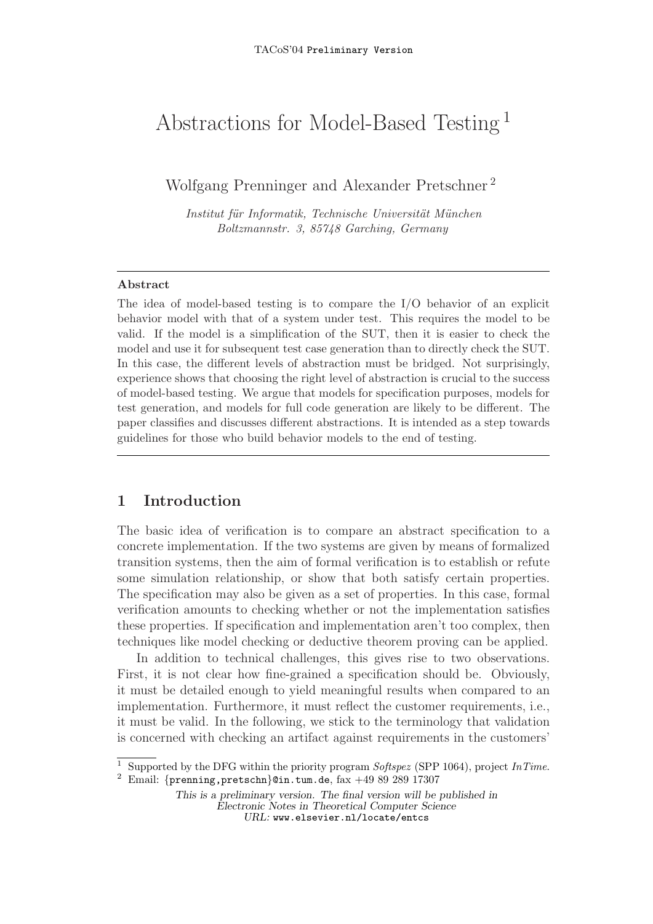# Abstractions for Model-Based Testing <sup>1</sup>

Wolfgang Prenninger and Alexander Pretschner <sup>2</sup>

Institut für Informatik, Technische Universität München Boltzmannstr. 3, 85748 Garching, Germany

#### Abstract

The idea of model-based testing is to compare the I/O behavior of an explicit behavior model with that of a system under test. This requires the model to be valid. If the model is a simplification of the SUT, then it is easier to check the model and use it for subsequent test case generation than to directly check the SUT. In this case, the different levels of abstraction must be bridged. Not surprisingly, experience shows that choosing the right level of abstraction is crucial to the success of model-based testing. We argue that models for specification purposes, models for test generation, and models for full code generation are likely to be different. The paper classifies and discusses different abstractions. It is intended as a step towards guidelines for those who build behavior models to the end of testing.

# 1 Introduction

The basic idea of verification is to compare an abstract specification to a concrete implementation. If the two systems are given by means of formalized transition systems, then the aim of formal verification is to establish or refute some simulation relationship, or show that both satisfy certain properties. The specification may also be given as a set of properties. In this case, formal verification amounts to checking whether or not the implementation satisfies these properties. If specification and implementation aren't too complex, then techniques like model checking or deductive theorem proving can be applied.

In addition to technical challenges, this gives rise to two observations. First, it is not clear how fine-grained a specification should be. Obviously, it must be detailed enough to yield meaningful results when compared to an implementation. Furthermore, it must reflect the customer requirements, i.e., it must be valid. In the following, we stick to the terminology that validation is concerned with checking an artifact against requirements in the customers'

<sup>&</sup>lt;sup>1</sup> Supported by the DFG within the priority program Softspez (SPP 1064), project InTime.  $2$  Email: {prenning,pretschn}@in.tum.de, fax +49 89 289 17307

This is a preliminary version. The final version will be published in Electronic Notes in Theoretical Computer Science URL: www.elsevier.nl/locate/entcs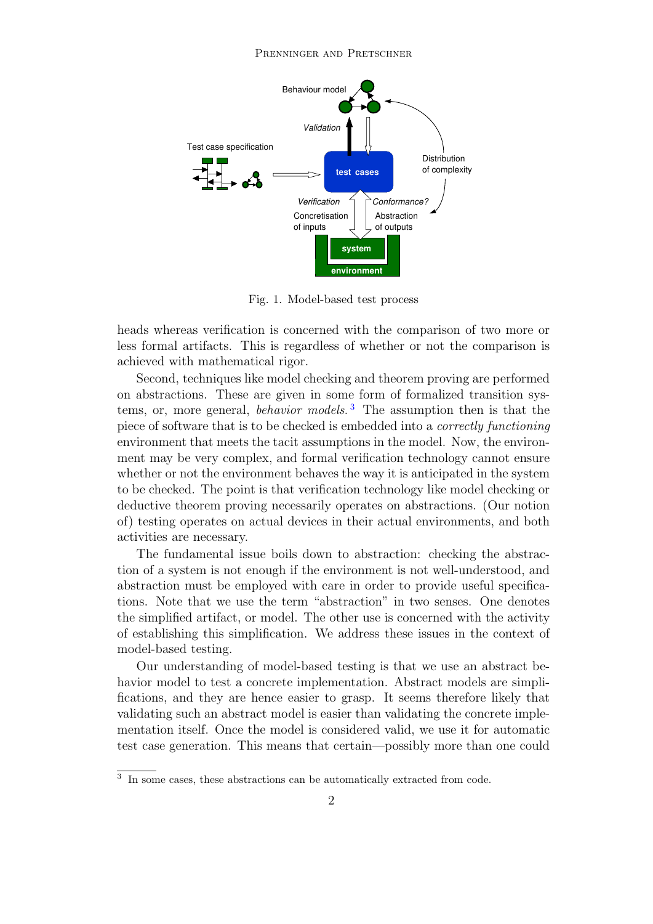

<span id="page-1-1"></span>Fig. 1. Model-based test process

heads whereas verification is concerned with the comparison of two more or less formal artifacts. This is regardless of whether or not the comparison is achieved with mathematical rigor.

Second, techniques like model checking and theorem proving are performed on abstractions. These are given in some form of formalized transition systems, or, more general, *behavior models*.<sup>[3](#page-1-0)</sup> The assumption then is that the piece of software that is to be checked is embedded into a correctly functioning environment that meets the tacit assumptions in the model. Now, the environment may be very complex, and formal verification technology cannot ensure whether or not the environment behaves the way it is anticipated in the system to be checked. The point is that verification technology like model checking or deductive theorem proving necessarily operates on abstractions. (Our notion of) testing operates on actual devices in their actual environments, and both activities are necessary.

The fundamental issue boils down to abstraction: checking the abstraction of a system is not enough if the environment is not well-understood, and abstraction must be employed with care in order to provide useful specifications. Note that we use the term "abstraction" in two senses. One denotes the simplified artifact, or model. The other use is concerned with the activity of establishing this simplification. We address these issues in the context of model-based testing.

Our understanding of model-based testing is that we use an abstract behavior model to test a concrete implementation. Abstract models are simplifications, and they are hence easier to grasp. It seems therefore likely that validating such an abstract model is easier than validating the concrete implementation itself. Once the model is considered valid, we use it for automatic test case generation. This means that certain—possibly more than one could

<span id="page-1-0"></span><sup>&</sup>lt;sup>3</sup> In some cases, these abstractions can be automatically extracted from code.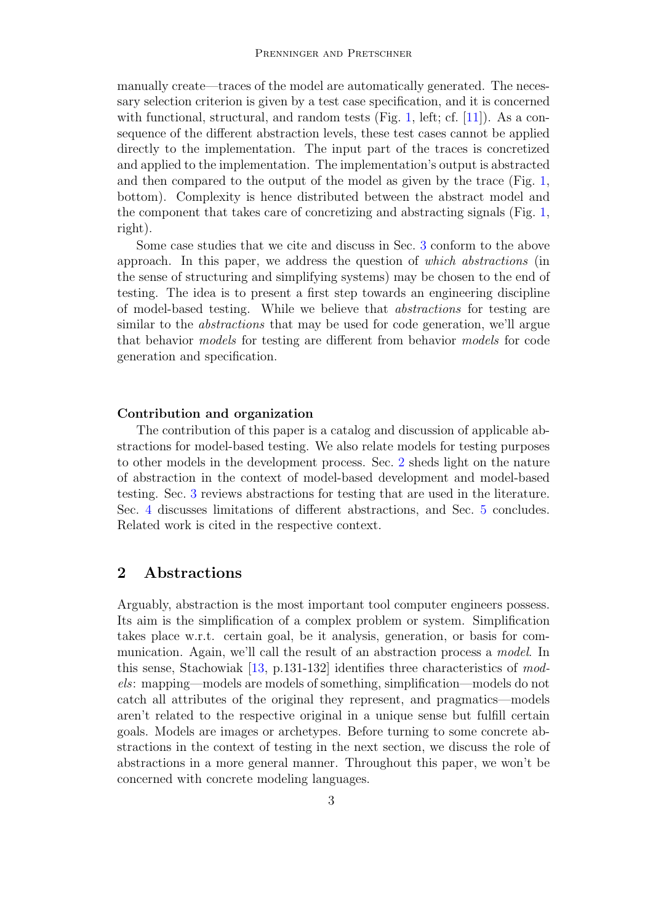manually create—traces of the model are automatically generated. The necessary selection criterion is given by a test case specification, and it is concerned with functional, structural, and random tests (Fig. [1,](#page-1-1) left; cf.  $[11]$ ). As a consequence of the different abstraction levels, these test cases cannot be applied directly to the implementation. The input part of the traces is concretized and applied to the implementation. The implementation's output is abstracted and then compared to the output of the model as given by the trace (Fig. [1,](#page-1-1) bottom). Complexity is hence distributed between the abstract model and the component that takes care of concretizing and abstracting signals (Fig. [1,](#page-1-1) right).

Some case studies that we cite and discuss in Sec. [3](#page-5-0) conform to the above approach. In this paper, we address the question of which abstractions (in the sense of structuring and simplifying systems) may be chosen to the end of testing. The idea is to present a first step towards an engineering discipline of model-based testing. While we believe that abstractions for testing are similar to the *abstractions* that may be used for code generation, we'll argue that behavior models for testing are different from behavior models for code generation and specification.

## Contribution and organization

The contribution of this paper is a catalog and discussion of applicable abstractions for model-based testing. We also relate models for testing purposes to other models in the development process. Sec. [2](#page-2-0) sheds light on the nature of abstraction in the context of model-based development and model-based testing. Sec. [3](#page-5-0) reviews abstractions for testing that are used in the literature. Sec. [4](#page-8-0) discusses limitations of different abstractions, and Sec. [5](#page-10-0) concludes. Related work is cited in the respective context.

# <span id="page-2-0"></span>2 Abstractions

Arguably, abstraction is the most important tool computer engineers possess. Its aim is the simplification of a complex problem or system. Simplification takes place w.r.t. certain goal, be it analysis, generation, or basis for communication. Again, we'll call the result of an abstraction process a model. In this sense, Stachowiak  $[13, p.131-132]$  $[13, p.131-132]$  identifies three characteristics of models: mapping—models are models of something, simplification—models do not catch all attributes of the original they represent, and pragmatics—models aren't related to the respective original in a unique sense but fulfill certain goals. Models are images or archetypes. Before turning to some concrete abstractions in the context of testing in the next section, we discuss the role of abstractions in a more general manner. Throughout this paper, we won't be concerned with concrete modeling languages.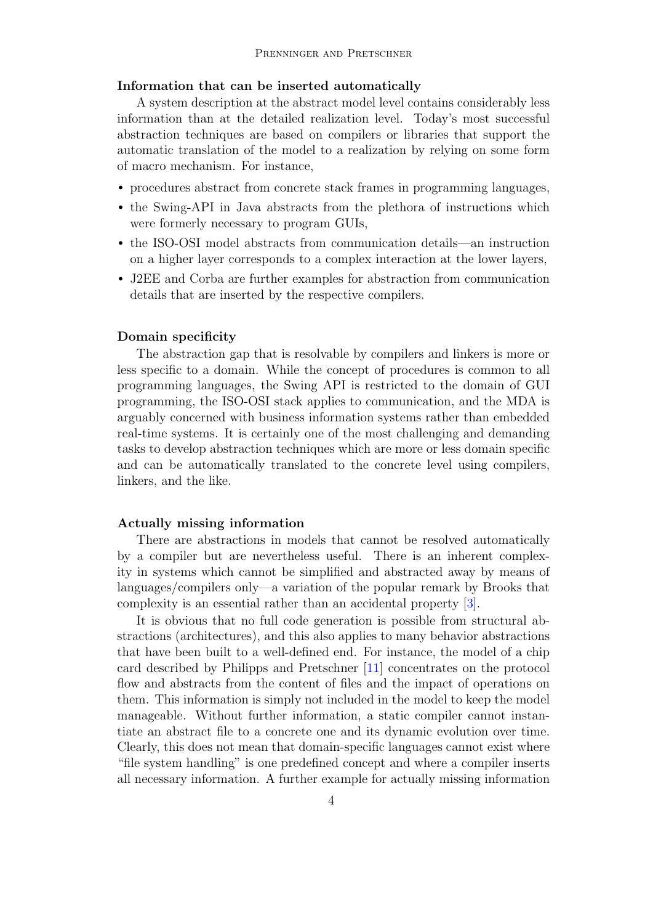## Information that can be inserted automatically

A system description at the abstract model level contains considerably less information than at the detailed realization level. Today's most successful abstraction techniques are based on compilers or libraries that support the automatic translation of the model to a realization by relying on some form of macro mechanism. For instance,

- procedures abstract from concrete stack frames in programming languages,
- the Swing-API in Java abstracts from the plethora of instructions which were formerly necessary to program GUIs,
- the ISO-OSI model abstracts from communication details—an instruction on a higher layer corresponds to a complex interaction at the lower layers,
- J2EE and Corba are further examples for abstraction from communication details that are inserted by the respective compilers.

#### Domain specificity

The abstraction gap that is resolvable by compilers and linkers is more or less specific to a domain. While the concept of procedures is common to all programming languages, the Swing API is restricted to the domain of GUI programming, the ISO-OSI stack applies to communication, and the MDA is arguably concerned with business information systems rather than embedded real-time systems. It is certainly one of the most challenging and demanding tasks to develop abstraction techniques which are more or less domain specific and can be automatically translated to the concrete level using compilers, linkers, and the like.

## Actually missing information

There are abstractions in models that cannot be resolved automatically by a compiler but are nevertheless useful. There is an inherent complexity in systems which cannot be simplified and abstracted away by means of languages/compilers only—a variation of the popular remark by Brooks that complexity is an essential rather than an accidental property [\[3\]](#page-11-2).

It is obvious that no full code generation is possible from structural abstractions (architectures), and this also applies to many behavior abstractions that have been built to a well-defined end. For instance, the model of a chip card described by Philipps and Pretschner [\[11\]](#page-11-0) concentrates on the protocol flow and abstracts from the content of files and the impact of operations on them. This information is simply not included in the model to keep the model manageable. Without further information, a static compiler cannot instantiate an abstract file to a concrete one and its dynamic evolution over time. Clearly, this does not mean that domain-specific languages cannot exist where "file system handling" is one predefined concept and where a compiler inserts all necessary information. A further example for actually missing information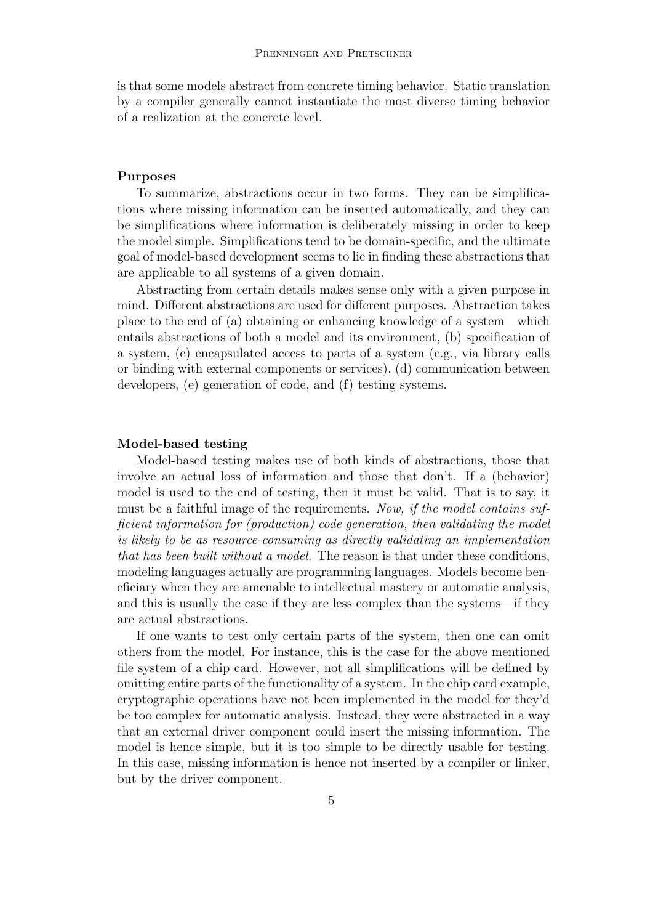is that some models abstract from concrete timing behavior. Static translation by a compiler generally cannot instantiate the most diverse timing behavior of a realization at the concrete level.

## Purposes

To summarize, abstractions occur in two forms. They can be simplifications where missing information can be inserted automatically, and they can be simplifications where information is deliberately missing in order to keep the model simple. Simplifications tend to be domain-specific, and the ultimate goal of model-based development seems to lie in finding these abstractions that are applicable to all systems of a given domain.

Abstracting from certain details makes sense only with a given purpose in mind. Different abstractions are used for different purposes. Abstraction takes place to the end of (a) obtaining or enhancing knowledge of a system—which entails abstractions of both a model and its environment, (b) specification of a system, (c) encapsulated access to parts of a system (e.g., via library calls or binding with external components or services), (d) communication between developers, (e) generation of code, and (f) testing systems.

# Model-based testing

Model-based testing makes use of both kinds of abstractions, those that involve an actual loss of information and those that don't. If a (behavior) model is used to the end of testing, then it must be valid. That is to say, it must be a faithful image of the requirements. Now, if the model contains sufficient information for (production) code generation, then validating the model is likely to be as resource-consuming as directly validating an implementation that has been built without a model. The reason is that under these conditions, modeling languages actually are programming languages. Models become beneficiary when they are amenable to intellectual mastery or automatic analysis, and this is usually the case if they are less complex than the systems—if they are actual abstractions.

If one wants to test only certain parts of the system, then one can omit others from the model. For instance, this is the case for the above mentioned file system of a chip card. However, not all simplifications will be defined by omitting entire parts of the functionality of a system. In the chip card example, cryptographic operations have not been implemented in the model for they'd be too complex for automatic analysis. Instead, they were abstracted in a way that an external driver component could insert the missing information. The model is hence simple, but it is too simple to be directly usable for testing. In this case, missing information is hence not inserted by a compiler or linker, but by the driver component.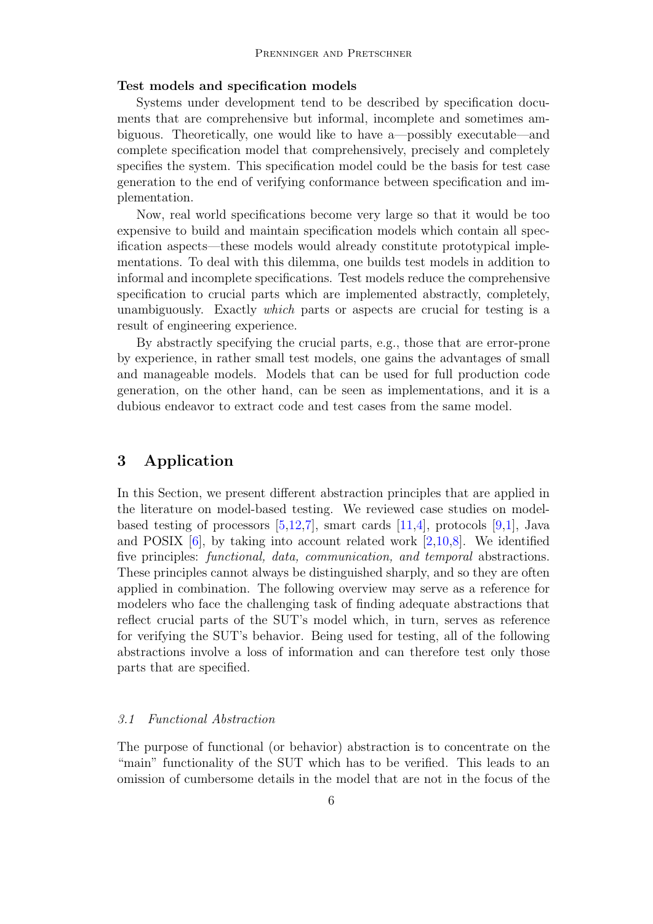## Test models and specification models

Systems under development tend to be described by specification documents that are comprehensive but informal, incomplete and sometimes ambiguous. Theoretically, one would like to have a—possibly executable—and complete specification model that comprehensively, precisely and completely specifies the system. This specification model could be the basis for test case generation to the end of verifying conformance between specification and implementation.

Now, real world specifications become very large so that it would be too expensive to build and maintain specification models which contain all specification aspects—these models would already constitute prototypical implementations. To deal with this dilemma, one builds test models in addition to informal and incomplete specifications. Test models reduce the comprehensive specification to crucial parts which are implemented abstractly, completely, unambiguously. Exactly which parts or aspects are crucial for testing is a result of engineering experience.

By abstractly specifying the crucial parts, e.g., those that are error-prone by experience, in rather small test models, one gains the advantages of small and manageable models. Models that can be used for full production code generation, on the other hand, can be seen as implementations, and it is a dubious endeavor to extract code and test cases from the same model.

# <span id="page-5-0"></span>3 Application

In this Section, we present different abstraction principles that are applied in the literature on model-based testing. We reviewed case studies on modelbased testing of processors  $[5,12,7]$  $[5,12,7]$  $[5,12,7]$ , smart cards  $[11,4]$  $[11,4]$ , protocols  $[9,1]$  $[9,1]$ , Java and POSIX  $[6]$ , by taking into account related work  $[2,10,8]$  $[2,10,8]$  $[2,10,8]$ . We identified five principles: functional, data, communication, and temporal abstractions. These principles cannot always be distinguished sharply, and so they are often applied in combination. The following overview may serve as a reference for modelers who face the challenging task of finding adequate abstractions that reflect crucial parts of the SUT's model which, in turn, serves as reference for verifying the SUT's behavior. Being used for testing, all of the following abstractions involve a loss of information and can therefore test only those parts that are specified.

# 3.1 Functional Abstraction

The purpose of functional (or behavior) abstraction is to concentrate on the "main" functionality of the SUT which has to be verified. This leads to an omission of cumbersome details in the model that are not in the focus of the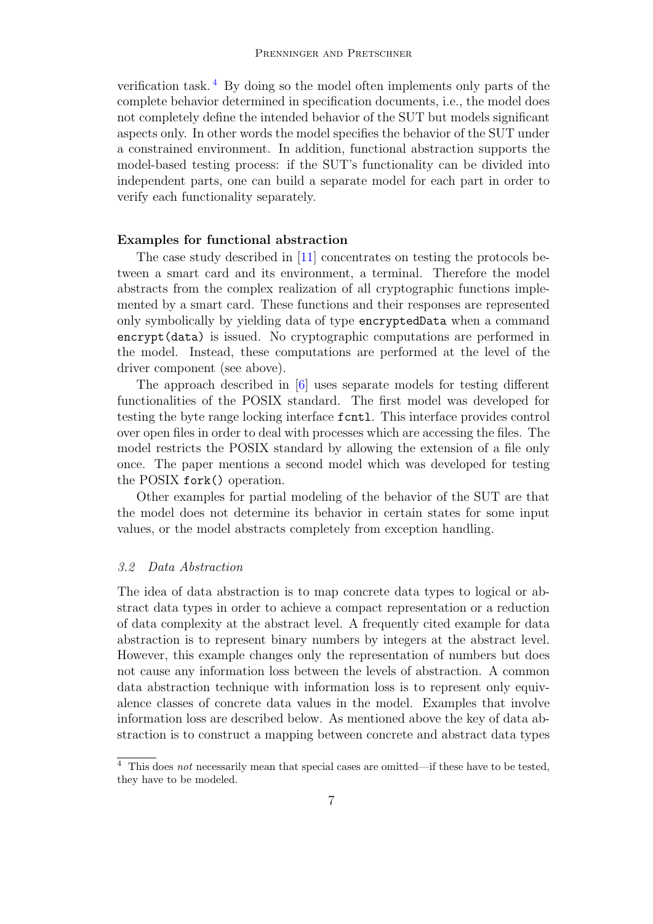verification task.<sup>[4](#page-6-0)</sup> By doing so the model often implements only parts of the complete behavior determined in specification documents, i.e., the model does not completely define the intended behavior of the SUT but models significant aspects only. In other words the model specifies the behavior of the SUT under a constrained environment. In addition, functional abstraction supports the model-based testing process: if the SUT's functionality can be divided into independent parts, one can build a separate model for each part in order to verify each functionality separately.

# Examples for functional abstraction

The case study described in [\[11\]](#page-11-0) concentrates on testing the protocols between a smart card and its environment, a terminal. Therefore the model abstracts from the complex realization of all cryptographic functions implemented by a smart card. These functions and their responses are represented only symbolically by yielding data of type encryptedData when a command encrypt(data) is issued. No cryptographic computations are performed in the model. Instead, these computations are performed at the level of the driver component (see above).

The approach described in [\[6\]](#page-11-9) uses separate models for testing different functionalities of the POSIX standard. The first model was developed for testing the byte range locking interface fcntl. This interface provides control over open files in order to deal with processes which are accessing the files. The model restricts the POSIX standard by allowing the extension of a file only once. The paper mentions a second model which was developed for testing the POSIX fork() operation.

Other examples for partial modeling of the behavior of the SUT are that the model does not determine its behavior in certain states for some input values, or the model abstracts completely from exception handling.

# 3.2 Data Abstraction

The idea of data abstraction is to map concrete data types to logical or abstract data types in order to achieve a compact representation or a reduction of data complexity at the abstract level. A frequently cited example for data abstraction is to represent binary numbers by integers at the abstract level. However, this example changes only the representation of numbers but does not cause any information loss between the levels of abstraction. A common data abstraction technique with information loss is to represent only equivalence classes of concrete data values in the model. Examples that involve information loss are described below. As mentioned above the key of data abstraction is to construct a mapping between concrete and abstract data types

<span id="page-6-0"></span> $4$  This does not necessarily mean that special cases are omitted—if these have to be tested, they have to be modeled.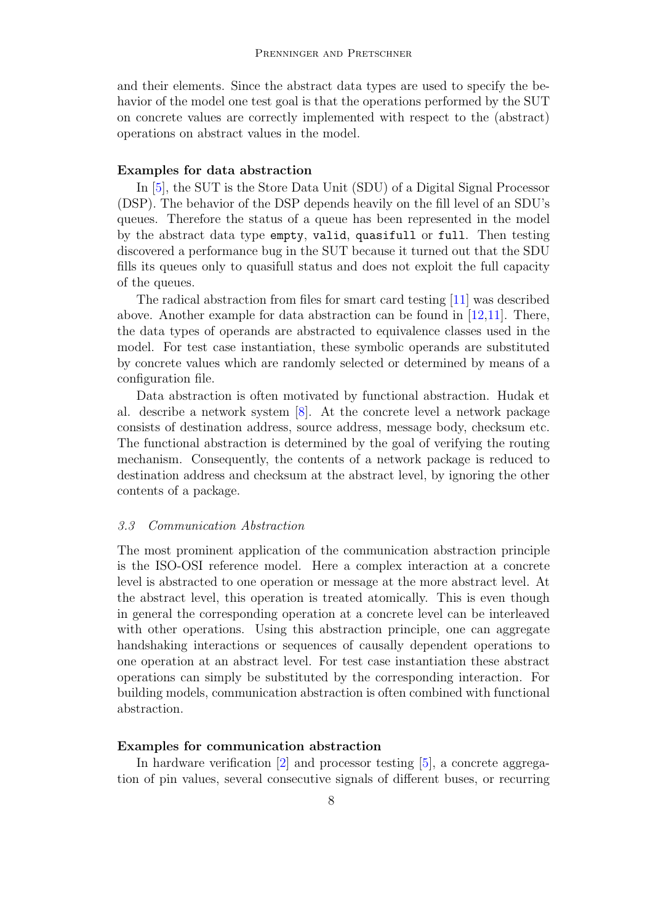and their elements. Since the abstract data types are used to specify the behavior of the model one test goal is that the operations performed by the SUT on concrete values are correctly implemented with respect to the (abstract) operations on abstract values in the model.

# Examples for data abstraction

In [\[5\]](#page-11-3), the SUT is the Store Data Unit (SDU) of a Digital Signal Processor (DSP). The behavior of the DSP depends heavily on the fill level of an SDU's queues. Therefore the status of a queue has been represented in the model by the abstract data type empty, valid, quasifull or full. Then testing discovered a performance bug in the SUT because it turned out that the SDU fills its queues only to quasifull status and does not exploit the full capacity of the queues.

The radical abstraction from files for smart card testing [\[11\]](#page-11-0) was described above. Another example for data abstraction can be found in  $[12,11]$  $[12,11]$ . There, the data types of operands are abstracted to equivalence classes used in the model. For test case instantiation, these symbolic operands are substituted by concrete values which are randomly selected or determined by means of a configuration file.

Data abstraction is often motivated by functional abstraction. Hudak et al. describe a network system [\[8\]](#page-11-12). At the concrete level a network package consists of destination address, source address, message body, checksum etc. The functional abstraction is determined by the goal of verifying the routing mechanism. Consequently, the contents of a network package is reduced to destination address and checksum at the abstract level, by ignoring the other contents of a package.

## 3.3 Communication Abstraction

The most prominent application of the communication abstraction principle is the ISO-OSI reference model. Here a complex interaction at a concrete level is abstracted to one operation or message at the more abstract level. At the abstract level, this operation is treated atomically. This is even though in general the corresponding operation at a concrete level can be interleaved with other operations. Using this abstraction principle, one can aggregate handshaking interactions or sequences of causally dependent operations to one operation at an abstract level. For test case instantiation these abstract operations can simply be substituted by the corresponding interaction. For building models, communication abstraction is often combined with functional abstraction.

# Examples for communication abstraction

In hardware verification [\[2\]](#page-11-10) and processor testing [\[5\]](#page-11-3), a concrete aggregation of pin values, several consecutive signals of different buses, or recurring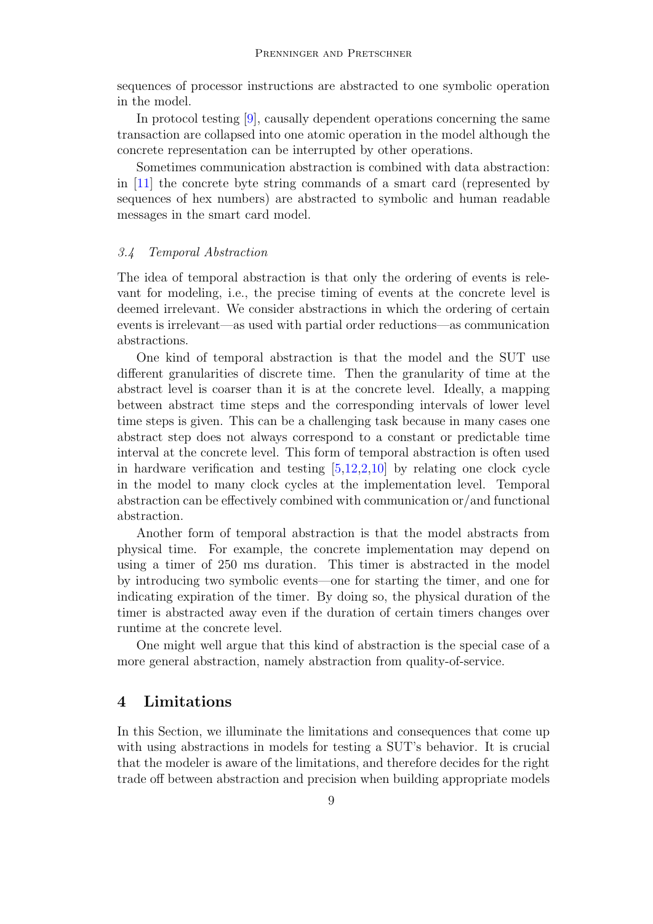sequences of processor instructions are abstracted to one symbolic operation in the model.

In protocol testing [\[9\]](#page-11-7), causally dependent operations concerning the same transaction are collapsed into one atomic operation in the model although the concrete representation can be interrupted by other operations.

Sometimes communication abstraction is combined with data abstraction: in [\[11\]](#page-11-0) the concrete byte string commands of a smart card (represented by sequences of hex numbers) are abstracted to symbolic and human readable messages in the smart card model.

## 3.4 Temporal Abstraction

The idea of temporal abstraction is that only the ordering of events is relevant for modeling, i.e., the precise timing of events at the concrete level is deemed irrelevant. We consider abstractions in which the ordering of certain events is irrelevant—as used with partial order reductions—as communication abstractions.

One kind of temporal abstraction is that the model and the SUT use different granularities of discrete time. Then the granularity of time at the abstract level is coarser than it is at the concrete level. Ideally, a mapping between abstract time steps and the corresponding intervals of lower level time steps is given. This can be a challenging task because in many cases one abstract step does not always correspond to a constant or predictable time interval at the concrete level. This form of temporal abstraction is often used in hardware verification and testing  $[5,12,2,10]$  $[5,12,2,10]$  $[5,12,2,10]$  $[5,12,2,10]$  by relating one clock cycle in the model to many clock cycles at the implementation level. Temporal abstraction can be effectively combined with communication or/and functional abstraction.

Another form of temporal abstraction is that the model abstracts from physical time. For example, the concrete implementation may depend on using a timer of 250 ms duration. This timer is abstracted in the model by introducing two symbolic events—one for starting the timer, and one for indicating expiration of the timer. By doing so, the physical duration of the timer is abstracted away even if the duration of certain timers changes over runtime at the concrete level.

One might well argue that this kind of abstraction is the special case of a more general abstraction, namely abstraction from quality-of-service.

# <span id="page-8-0"></span>4 Limitations

In this Section, we illuminate the limitations and consequences that come up with using abstractions in models for testing a SUT's behavior. It is crucial that the modeler is aware of the limitations, and therefore decides for the right trade off between abstraction and precision when building appropriate models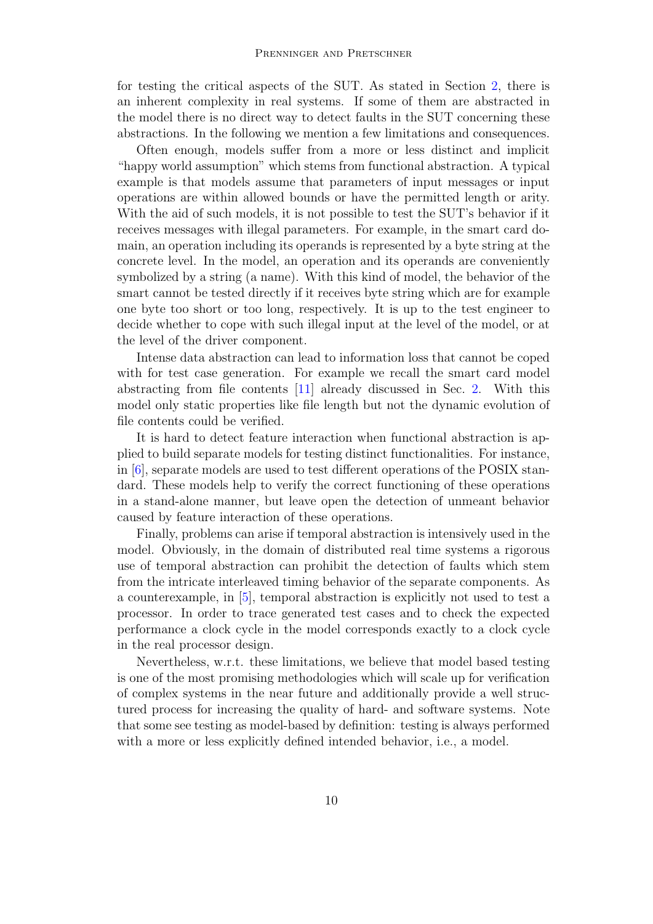for testing the critical aspects of the SUT. As stated in Section [2,](#page-2-0) there is an inherent complexity in real systems. If some of them are abstracted in the model there is no direct way to detect faults in the SUT concerning these abstractions. In the following we mention a few limitations and consequences.

Often enough, models suffer from a more or less distinct and implicit "happy world assumption" which stems from functional abstraction. A typical example is that models assume that parameters of input messages or input operations are within allowed bounds or have the permitted length or arity. With the aid of such models, it is not possible to test the SUT's behavior if it receives messages with illegal parameters. For example, in the smart card domain, an operation including its operands is represented by a byte string at the concrete level. In the model, an operation and its operands are conveniently symbolized by a string (a name). With this kind of model, the behavior of the smart cannot be tested directly if it receives byte string which are for example one byte too short or too long, respectively. It is up to the test engineer to decide whether to cope with such illegal input at the level of the model, or at the level of the driver component.

Intense data abstraction can lead to information loss that cannot be coped with for test case generation. For example we recall the smart card model abstracting from file contents [\[11\]](#page-11-0) already discussed in Sec. [2.](#page-2-0) With this model only static properties like file length but not the dynamic evolution of file contents could be verified.

It is hard to detect feature interaction when functional abstraction is applied to build separate models for testing distinct functionalities. For instance, in [\[6\]](#page-11-9), separate models are used to test different operations of the POSIX standard. These models help to verify the correct functioning of these operations in a stand-alone manner, but leave open the detection of unmeant behavior caused by feature interaction of these operations.

Finally, problems can arise if temporal abstraction is intensively used in the model. Obviously, in the domain of distributed real time systems a rigorous use of temporal abstraction can prohibit the detection of faults which stem from the intricate interleaved timing behavior of the separate components. As a counterexample, in [\[5\]](#page-11-3), temporal abstraction is explicitly not used to test a processor. In order to trace generated test cases and to check the expected performance a clock cycle in the model corresponds exactly to a clock cycle in the real processor design.

Nevertheless, w.r.t. these limitations, we believe that model based testing is one of the most promising methodologies which will scale up for verification of complex systems in the near future and additionally provide a well structured process for increasing the quality of hard- and software systems. Note that some see testing as model-based by definition: testing is always performed with a more or less explicitly defined intended behavior, *i.e.*, a model.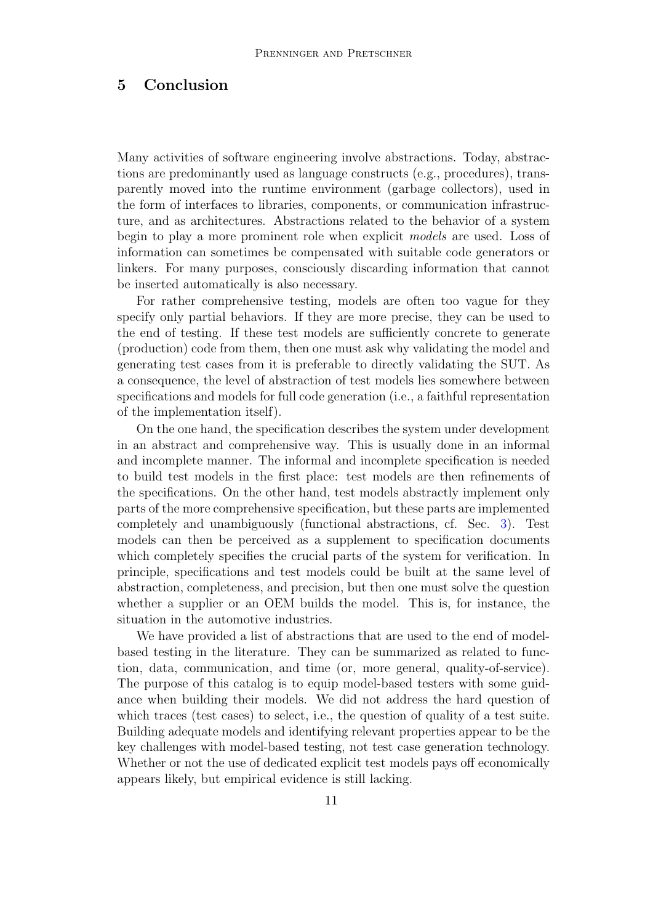# <span id="page-10-0"></span>5 Conclusion

Many activities of software engineering involve abstractions. Today, abstractions are predominantly used as language constructs (e.g., procedures), transparently moved into the runtime environment (garbage collectors), used in the form of interfaces to libraries, components, or communication infrastructure, and as architectures. Abstractions related to the behavior of a system begin to play a more prominent role when explicit *models* are used. Loss of information can sometimes be compensated with suitable code generators or linkers. For many purposes, consciously discarding information that cannot be inserted automatically is also necessary.

For rather comprehensive testing, models are often too vague for they specify only partial behaviors. If they are more precise, they can be used to the end of testing. If these test models are sufficiently concrete to generate (production) code from them, then one must ask why validating the model and generating test cases from it is preferable to directly validating the SUT. As a consequence, the level of abstraction of test models lies somewhere between specifications and models for full code generation (i.e., a faithful representation of the implementation itself).

On the one hand, the specification describes the system under development in an abstract and comprehensive way. This is usually done in an informal and incomplete manner. The informal and incomplete specification is needed to build test models in the first place: test models are then refinements of the specifications. On the other hand, test models abstractly implement only parts of the more comprehensive specification, but these parts are implemented completely and unambiguously (functional abstractions, cf. Sec. [3\)](#page-5-0). Test models can then be perceived as a supplement to specification documents which completely specifies the crucial parts of the system for verification. In principle, specifications and test models could be built at the same level of abstraction, completeness, and precision, but then one must solve the question whether a supplier or an OEM builds the model. This is, for instance, the situation in the automotive industries.

We have provided a list of abstractions that are used to the end of modelbased testing in the literature. They can be summarized as related to function, data, communication, and time (or, more general, quality-of-service). The purpose of this catalog is to equip model-based testers with some guidance when building their models. We did not address the hard question of which traces (test cases) to select, i.e., the question of quality of a test suite. Building adequate models and identifying relevant properties appear to be the key challenges with model-based testing, not test case generation technology. Whether or not the use of dedicated explicit test models pays off economically appears likely, but empirical evidence is still lacking.